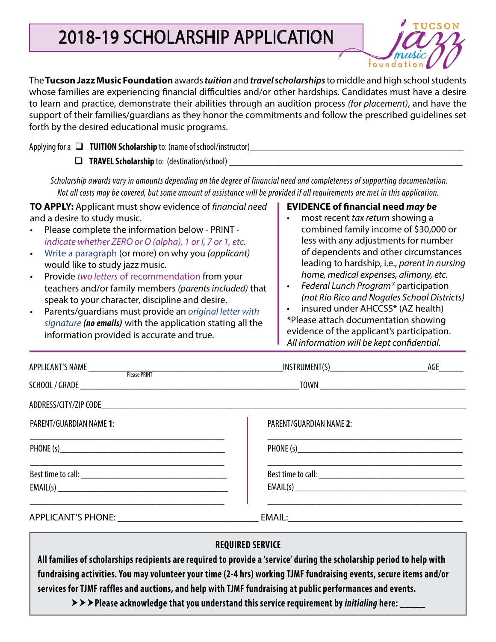# 2018-19 SCHOLARSHIP APPLICATION



The **Tucson Jazz Music Foundation** awards *tuition* and *travel scholarships* to middle and high school students whose families are experiencing financial difficulties and/or other hardships. Candidates must have a desire to learn and practice, demonstrate their abilities through an audition process *(for placement)*, and have the support of their families/guardians as they honor the commitments and follow the prescribed guidelines set forth by the desired educational music programs.

|                                                                                                                                                                                                                                                             | Applying for a $\Box$ <b>TUITION Scholarship</b> to: (name of school/instructor) |  |
|-------------------------------------------------------------------------------------------------------------------------------------------------------------------------------------------------------------------------------------------------------------|----------------------------------------------------------------------------------|--|
|                                                                                                                                                                                                                                                             | <b>TRAVEL Scholarship to: (destination/school)</b>                               |  |
| Scholarship awards vary in amounts depending on the degree of financial need and completeness of supporting documentation.<br>Not all costs may be covered, but some amount of assistance will be provided if all requirements are met in this application. |                                                                                  |  |

| TO APPLY: Applicant must show evidence of financial need   | <b>EVIDENCE of financial need may be</b>                                                                                                                                                                                          |
|------------------------------------------------------------|-----------------------------------------------------------------------------------------------------------------------------------------------------------------------------------------------------------------------------------|
| and a desire to study music.                               | most recent tax return showing a                                                                                                                                                                                                  |
| Please complete the information below - PRINT -            | combined family income of \$30,000 or                                                                                                                                                                                             |
| indicate whether ZERO or O (alpha), 1 or I, 7 or 1, etc.   | less with any adjustments for number                                                                                                                                                                                              |
| Write a paragraph (or more) on why you (applicant)         | of dependents and other circumstances                                                                                                                                                                                             |
| would like to study jazz music.                            | leading to hardship, i.e., parent in nursing                                                                                                                                                                                      |
| Provide two letters of recommendation from your            | home, medical expenses, alimony, etc.                                                                                                                                                                                             |
| teachers and/or family members (parents included) that     | Federal Lunch Program* participation                                                                                                                                                                                              |
| speak to your character, discipline and desire.            | (not Rio Rico and Nogales School Districts)                                                                                                                                                                                       |
| Parents/guardians must provide an original letter with     | insured under AHCCSS* (AZ health)                                                                                                                                                                                                 |
| signature (no emails) with the application stating all the | *Please attach documentation showing                                                                                                                                                                                              |
|                                                            | $\mathbf{r}$ , and the contract of the contract of the contract of the contract of the contract of the contract of the contract of the contract of the contract of the contract of the contract of the contract of the contract o |

information provided is accurate and true.

evidence of the applicant's participation. *All information will be kept confidential.*

| APPLICANT'S NAME Please PRINT |                         | AGE |
|-------------------------------|-------------------------|-----|
|                               |                         |     |
|                               |                         |     |
| PARENT/GUARDIAN NAME 1:       | PARENT/GUARDIAN NAME 2: |     |
| PHONE (s)                     |                         |     |
|                               |                         |     |
|                               |                         |     |

### **REQUIRED SERVICE**

**All families of scholarships recipients are required to provide a 'service' during the scholarship period to help with fundraising activities. You may volunteer your time (2-4 hrs) working TJMF fundraising events, secure items and/or services for TJMF raffles and auctions, and help with TJMF fundraising at public performances and events.** 

**PLEASE 20** Extertal that you understand this service requirement by *initialing* here: